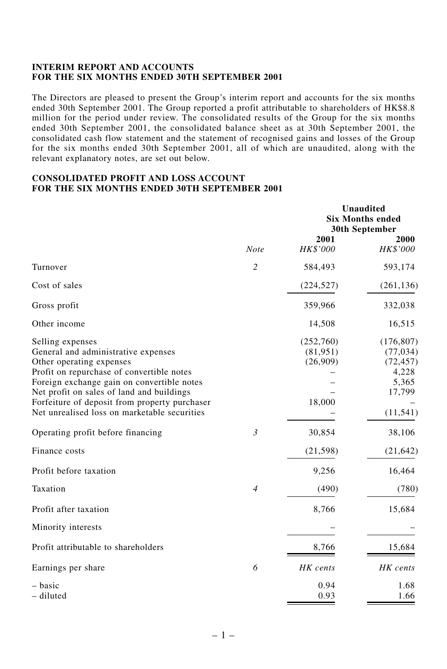### **INTERIM REPORT AND ACCOUNTS FOR THE SIX MONTHS ENDED 30TH SEPTEMBER 2001**

The Directors are pleased to present the Group's interim report and accounts for the six months ended 30th September 2001. The Group reported a profit attributable to shareholders of HK\$8.8 million for the period under review. The consolidated results of the Group for the six months ended 30th September 2001, the consolidated balance sheet as at 30th September 2001, the consolidated cash flow statement and the statement of recognised gains and losses of the Group for the six months ended 30th September 2001, all of which are unaudited, along with the relevant explanatory notes, are set out below.

## **CONSOLIDATED PROFIT AND LOSS ACCOUNT FOR THE SIX MONTHS ENDED 30TH SEPTEMBER 2001**

|                                                                                                                                                                                                                                                                                                                              |                | <b>Unaudited</b><br><b>Six Months ended</b><br><b>30th September</b> |                                                                               |  |
|------------------------------------------------------------------------------------------------------------------------------------------------------------------------------------------------------------------------------------------------------------------------------------------------------------------------------|----------------|----------------------------------------------------------------------|-------------------------------------------------------------------------------|--|
|                                                                                                                                                                                                                                                                                                                              | <b>Note</b>    | 2001<br>HK\$'000                                                     | 2000<br>HK\$'000                                                              |  |
| Turnover                                                                                                                                                                                                                                                                                                                     | $\overline{c}$ | 584,493                                                              | 593,174                                                                       |  |
| Cost of sales                                                                                                                                                                                                                                                                                                                |                | (224, 527)                                                           | (261, 136)                                                                    |  |
| Gross profit                                                                                                                                                                                                                                                                                                                 |                | 359,966                                                              | 332,038                                                                       |  |
| Other income                                                                                                                                                                                                                                                                                                                 |                | 14,508                                                               | 16,515                                                                        |  |
| Selling expenses<br>General and administrative expenses<br>Other operating expenses<br>Profit on repurchase of convertible notes<br>Foreign exchange gain on convertible notes<br>Net profit on sales of land and buildings<br>Forfeiture of deposit from property purchaser<br>Net unrealised loss on marketable securities |                | (252,760)<br>(81, 951)<br>(26,909)<br>18,000                         | (176, 807)<br>(77, 034)<br>(72, 457)<br>4,228<br>5,365<br>17,799<br>(11, 541) |  |
| Operating profit before financing                                                                                                                                                                                                                                                                                            | $\mathfrak{Z}$ | 30,854                                                               | 38,106                                                                        |  |
| Finance costs                                                                                                                                                                                                                                                                                                                |                | (21, 598)                                                            | (21, 642)                                                                     |  |
| Profit before taxation                                                                                                                                                                                                                                                                                                       |                | 9,256                                                                | 16,464                                                                        |  |
| Taxation                                                                                                                                                                                                                                                                                                                     | $\overline{4}$ | (490)                                                                | (780)                                                                         |  |
| Profit after taxation                                                                                                                                                                                                                                                                                                        |                | 8,766                                                                | 15,684                                                                        |  |
| Minority interests                                                                                                                                                                                                                                                                                                           |                |                                                                      |                                                                               |  |
| Profit attributable to shareholders                                                                                                                                                                                                                                                                                          |                | 8,766                                                                | 15,684                                                                        |  |
| Earnings per share                                                                                                                                                                                                                                                                                                           | 6              | HK cents                                                             | HK cents                                                                      |  |
| – basic<br>- diluted                                                                                                                                                                                                                                                                                                         |                | 0.94<br>0.93                                                         | 1.68<br>1.66                                                                  |  |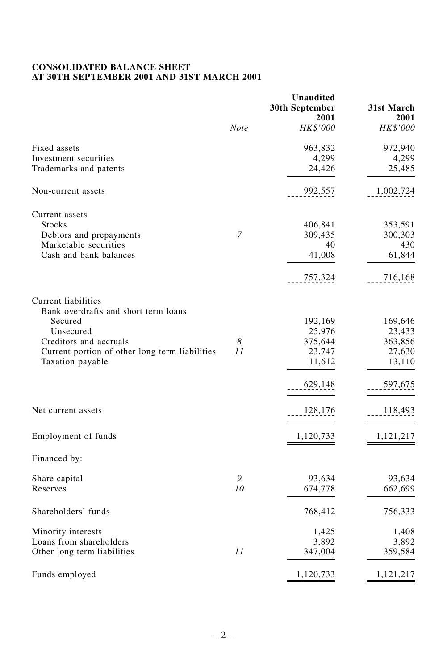# **CONSOLIDATED BALANCE SHEET AT 30TH SEPTEMBER 2001 AND 31ST MARCH 2001**

|                                                             |      | <b>Unaudited</b><br>30th September<br>2001 | 31st March<br>2001 |
|-------------------------------------------------------------|------|--------------------------------------------|--------------------|
|                                                             | Note | HK\$'000                                   | <i>HK\$'000</i>    |
| Fixed assets                                                |      | 963,832                                    | 972,940            |
| Investment securities                                       |      | 4,299                                      | 4,299              |
| Trademarks and patents                                      |      | 24,426                                     | 25,485             |
| Non-current assets                                          |      | 992,557                                    | 1,002,724          |
| Current assets                                              |      |                                            |                    |
| <b>Stocks</b>                                               |      | 406,841                                    | 353,591            |
| Debtors and prepayments                                     | 7    | 309,435                                    | 300,303            |
| Marketable securities                                       |      | 40                                         | 430                |
| Cash and bank balances                                      |      | 41,008                                     | 61,844             |
|                                                             |      | 757,324                                    | 716,168            |
| Current liabilities<br>Bank overdrafts and short term loans |      |                                            |                    |
| Secured                                                     |      | 192,169                                    | 169,646            |
| Unsecured                                                   |      | 25,976                                     | 23,433             |
| Creditors and accruals                                      | 8    | 375,644                                    | 363,856            |
| Current portion of other long term liabilities              | 11   | 23,747                                     | 27,630             |
| Taxation payable                                            |      | 11,612                                     | 13,110             |
|                                                             |      | 629,148                                    | 597,675            |
| Net current assets                                          |      | 128,176                                    | 118,493            |
| Employment of funds                                         |      | 1,120,733                                  | 1,121,217          |
|                                                             |      |                                            |                    |
| Financed by:                                                |      |                                            |                    |
| Share capital                                               | 9    | 93,634                                     | 93,634             |
| Reserves                                                    | 10   | 674,778                                    | 662,699            |
| Shareholders' funds                                         |      | 768,412                                    | 756,333            |
| Minority interests                                          |      | 1,425                                      | 1,408              |
| Loans from shareholders                                     |      | 3,892                                      | 3,892              |
| Other long term liabilities                                 | 11   | 347,004                                    | 359,584            |
| Funds employed                                              |      | 1,120,733                                  | 1,121,217          |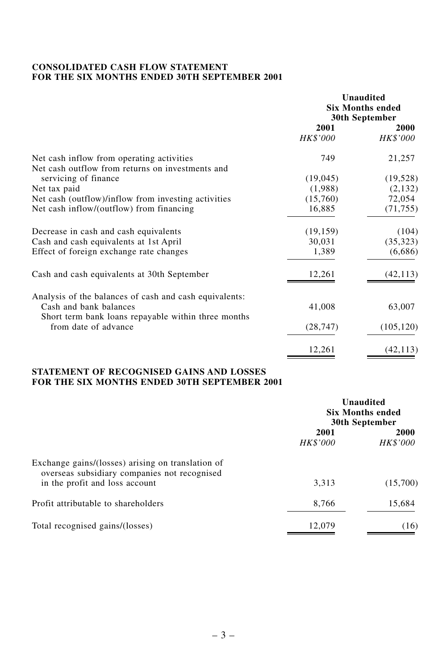## **CONSOLIDATED CASH FLOW STATEMENT FOR THE SIX MONTHS ENDED 30TH SEPTEMBER 2001**

|                                                                                               | <b>Unaudited</b><br><b>Six Months ended</b><br>30th September |                         |
|-----------------------------------------------------------------------------------------------|---------------------------------------------------------------|-------------------------|
|                                                                                               | 2001<br>HK\$'000                                              | <b>2000</b><br>HK\$'000 |
| Net cash inflow from operating activities<br>Net cash outflow from returns on investments and | 749                                                           | 21,257                  |
| servicing of finance                                                                          | (19,045)                                                      | (19, 528)               |
| Net tax paid                                                                                  | (1,988)                                                       | (2,132)                 |
| Net cash (outflow)/inflow from investing activities                                           | (15,760)                                                      | 72,054                  |
| Net cash inflow/(outflow) from financing                                                      | 16,885                                                        | (71, 755)               |
| Decrease in cash and cash equivalents                                                         | (19, 159)                                                     | (104)                   |
| Cash and cash equivalents at 1st April                                                        | 30,031                                                        | (35, 323)               |
| Effect of foreign exchange rate changes                                                       | 1,389                                                         | (6,686)                 |
| Cash and cash equivalents at 30th September                                                   | 12,261                                                        | (42, 113)               |
| Analysis of the balances of cash and cash equivalents:                                        |                                                               |                         |
| Cash and bank balances                                                                        | 41,008                                                        | 63,007                  |
| Short term bank loans repayable within three months<br>from date of advance                   | (28, 747)                                                     | (105, 120)              |
|                                                                                               | 12,261                                                        | (42, 113)               |

## **STATEMENT OF RECOGNISED GAINS AND LOSSES FOR THE SIX MONTHS ENDED 30TH SEPTEMBER 2001**

|                                                                                                   | Unaudited<br><b>Six Months ended</b><br>30th September |                         |
|---------------------------------------------------------------------------------------------------|--------------------------------------------------------|-------------------------|
|                                                                                                   | 2001<br><b>HK\$'000</b>                                | 2000<br><b>HK\$'000</b> |
| Exchange gains/(losses) arising on translation of<br>overseas subsidiary companies not recognised |                                                        |                         |
| in the profit and loss account                                                                    | 3.313                                                  | (15,700)                |
| Profit attributable to shareholders                                                               | 8,766                                                  | 15,684                  |
| Total recognised gains/(losses)                                                                   | 12,079                                                 | (16)                    |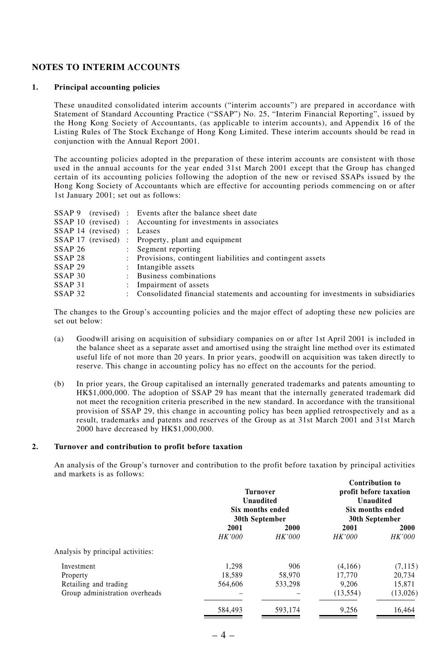## **NOTES TO INTERIM ACCOUNTS**

#### **1. Principal accounting policies**

These unaudited consolidated interim accounts ("interim accounts") are prepared in accordance with Statement of Standard Accounting Practice ("SSAP") No. 25, "Interim Financial Reporting", issued by the Hong Kong Society of Accountants, (as applicable to interim accounts), and Appendix 16 of the Listing Rules of The Stock Exchange of Hong Kong Limited. These interim accounts should be read in conjunction with the Annual Report 2001.

The accounting policies adopted in the preparation of these interim accounts are consistent with those used in the annual accounts for the year ended 31st March 2001 except that the Group has changed certain of its accounting policies following the adoption of the new or revised SSAPs issued by the Hong Kong Society of Accountants which are effective for accounting periods commencing on or after 1st January 2001; set out as follows:

|                    |                            | SSAP 9 (revised) : Events after the balance sheet date                             |
|--------------------|----------------------------|------------------------------------------------------------------------------------|
|                    |                            | SSAP 10 (revised) : Accounting for investments in associates                       |
|                    | SSAP 14 (revised) : Leases |                                                                                    |
|                    |                            | SSAP 17 (revised) : Property, plant and equipment                                  |
| SSAP <sub>26</sub> |                            | : Segment reporting                                                                |
| SSAP <sub>28</sub> |                            | : Provisions, contingent liabilities and contingent assets                         |
| SSAP <sub>29</sub> |                            | : Intangible assets                                                                |
| SSAP <sub>30</sub> |                            | : Business combinations                                                            |
| SSAP <sub>31</sub> |                            | : Impairment of assets                                                             |
| SSAP <sub>32</sub> |                            | : Consolidated financial statements and accounting for investments in subsidiaries |

The changes to the Group's accounting policies and the major effect of adopting these new policies are set out below:

- (a) Goodwill arising on acquisition of subsidiary companies on or after 1st April 2001 is included in the balance sheet as a separate asset and amortised using the straight line method over its estimated useful life of not more than 20 years. In prior years, goodwill on acquisition was taken directly to reserve. This change in accounting policy has no effect on the accounts for the period.
- (b) In prior years, the Group capitalised an internally generated trademarks and patents amounting to HK\$1,000,000. The adoption of SSAP 29 has meant that the internally generated trademark did not meet the recognition criteria prescribed in the new standard. In accordance with the transitional provision of SSAP 29, this change in accounting policy has been applied retrospectively and as a result, trademarks and patents and reserves of the Group as at 31st March 2001 and 31st March 2000 have decreased by HK\$1,000,000.

#### **2. Turnover and contribution to profit before taxation**

An analysis of the Group's turnover and contribution to the profit before taxation by principal activities and markets is as follows: **Contribution to**

|                                   | <b>Turnover</b><br>Unaudited<br>Six months ended<br>30th September |               | Contribution to<br>profit before taxation<br>Unaudited<br>Six months ended<br>30th September |               |
|-----------------------------------|--------------------------------------------------------------------|---------------|----------------------------------------------------------------------------------------------|---------------|
|                                   | 2001                                                               | 2000          | 2001                                                                                         | 2000          |
|                                   | <b>HK'000</b>                                                      | <b>HK'000</b> | <b>HK'000</b>                                                                                | <b>HK'000</b> |
| Analysis by principal activities: |                                                                    |               |                                                                                              |               |
| Investment                        | 1.298                                                              | 906           | (4.166)                                                                                      | (7, 115)      |
| Property                          | 18.589                                                             | 58.970        | 17.770                                                                                       | 20.734        |
| Retailing and trading             | 564,606                                                            | 533.298       | 9.206                                                                                        | 15.871        |
| Group administration overheads    |                                                                    |               | (13, 554)                                                                                    | (13,026)      |
|                                   | 584.493                                                            | 593.174       | 9,256                                                                                        | 16.464        |
|                                   |                                                                    |               |                                                                                              |               |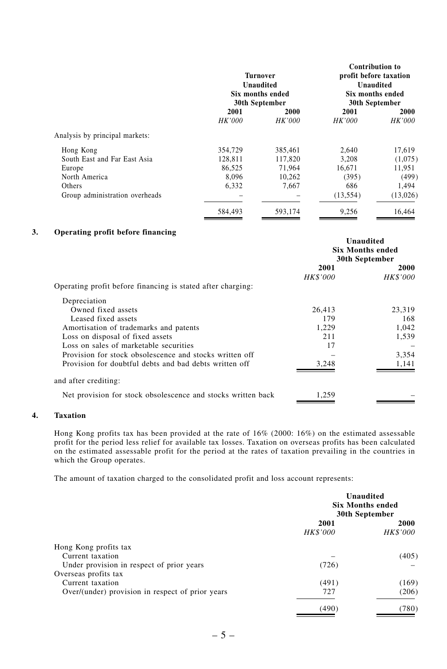|                                | Turnover<br>Unaudited<br>Six months ended<br>30th September |               | <b>Contribution to</b><br>profit before taxation<br><b>Unaudited</b><br>Six months ended<br>30th September |               |
|--------------------------------|-------------------------------------------------------------|---------------|------------------------------------------------------------------------------------------------------------|---------------|
|                                | 2001                                                        | 2000          | 2001                                                                                                       | 2000          |
|                                | <i>HK'000</i>                                               | <b>HK'000</b> | <b>HK'000</b>                                                                                              | <b>HK'000</b> |
| Analysis by principal markets: |                                                             |               |                                                                                                            |               |
| Hong Kong                      | 354,729                                                     | 385,461       | 2.640                                                                                                      | 17,619        |
| South East and Far East Asia   | 128,811                                                     | 117,820       | 3.208                                                                                                      | (1,075)       |
| Europe                         | 86.525                                                      | 71.964        | 16.671                                                                                                     | 11.951        |
| North America                  | 8.096                                                       | 10.262        | (395)                                                                                                      | (499)         |
| Others                         | 6.332                                                       | 7.667         | 686                                                                                                        | 1.494         |
| Group administration overheads |                                                             |               | (13, 554)                                                                                                  | (13,026)      |
|                                | 584.493                                                     | 593,174       | 9,256                                                                                                      | 16.464        |

#### **3. Operating profit before financing**

|                                                              | Unaudited<br><b>Six Months ended</b><br>30th September |                 |
|--------------------------------------------------------------|--------------------------------------------------------|-----------------|
|                                                              | 2001                                                   | 2000            |
|                                                              | <b>HK\$'000</b>                                        | <b>HK\$'000</b> |
| Operating profit before financing is stated after charging:  |                                                        |                 |
| Depreciation                                                 |                                                        |                 |
| Owned fixed assets                                           | 26,413                                                 | 23.319          |
| Leased fixed assets                                          | 179                                                    | 168             |
| Amortisation of trademarks and patents                       | 1,229                                                  | 1,042           |
| Loss on disposal of fixed assets                             | 211                                                    | 1,539           |
| Loss on sales of marketable securities                       | 17                                                     |                 |
| Provision for stock obsolescence and stocks written off      |                                                        | 3,354           |
| Provision for doubtful debts and bad debts written off       | 3.248                                                  | 1,141           |
| and after crediting:                                         |                                                        |                 |
| Net provision for stock obsolescence and stocks written back | 1,259                                                  |                 |

## **4. Taxation**

Hong Kong profits tax has been provided at the rate of 16% (2000: 16%) on the estimated assessable profit for the period less relief for available tax losses. Taxation on overseas profits has been calculated on the estimated assessable profit for the period at the rates of taxation prevailing in the countries in which the Group operates.

The amount of taxation charged to the consolidated profit and loss account represents:

|                                                  | Unaudited<br><b>Six Months ended</b><br>30th September |                  |
|--------------------------------------------------|--------------------------------------------------------|------------------|
|                                                  | 2001<br>HK\$'000                                       | 2000<br>HK\$'000 |
| Hong Kong profits tax                            |                                                        |                  |
| Current taxation                                 |                                                        | (405)            |
| Under provision in respect of prior years        | (726)                                                  |                  |
| Overseas profits tax                             |                                                        |                  |
| Current taxation                                 | (491)                                                  | (169)            |
| Over/(under) provision in respect of prior years | 727                                                    | (206)            |
|                                                  | (490                                                   | (780)            |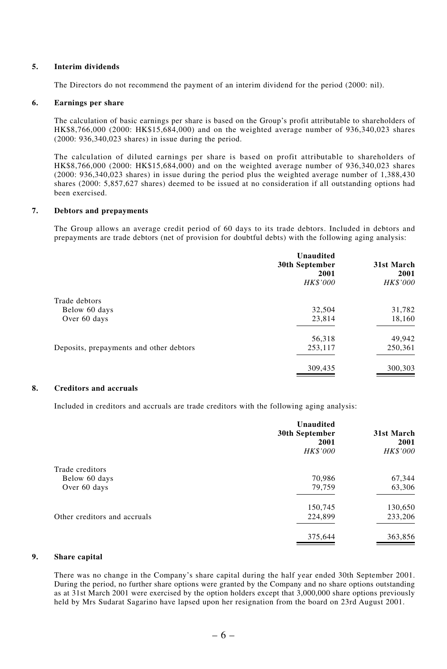#### **5. Interim dividends**

The Directors do not recommend the payment of an interim dividend for the period (2000: nil).

#### **6. Earnings per share**

The calculation of basic earnings per share is based on the Group's profit attributable to shareholders of HK\$8,766,000 (2000: HK\$15,684,000) and on the weighted average number of 936,340,023 shares (2000: 936,340,023 shares) in issue during the period.

The calculation of diluted earnings per share is based on profit attributable to shareholders of HK\$8,766,000 (2000: HK\$15,684,000) and on the weighted average number of 936,340,023 shares (2000: 936,340,023 shares) in issue during the period plus the weighted average number of 1,388,430 shares (2000: 5,857,627 shares) deemed to be issued at no consideration if all outstanding options had been exercised.

### **7. Debtors and prepayments**

The Group allows an average credit period of 60 days to its trade debtors. Included in debtors and prepayments are trade debtors (net of provision for doubtful debts) with the following aging analysis:

|                                         | Unaudited<br>30th September<br>2001<br>HK\$'000 | 31st March<br>2001<br><b>HK\$'000</b> |
|-----------------------------------------|-------------------------------------------------|---------------------------------------|
| Trade debtors                           |                                                 |                                       |
| Below 60 days                           | 32,504                                          | 31,782                                |
| Over 60 days                            | 23,814                                          | 18,160                                |
|                                         | 56,318                                          | 49,942                                |
| Deposits, prepayments and other debtors | 253,117                                         | 250,361                               |
|                                         | 309,435                                         | 300,303                               |
|                                         |                                                 |                                       |

#### **8. Creditors and accruals**

Included in creditors and accruals are trade creditors with the following aging analysis:

|                              | Unaudited<br>30th September<br>2001<br>HK\$'000 | 31st March<br>2001<br><b>HK\$'000</b> |
|------------------------------|-------------------------------------------------|---------------------------------------|
| Trade creditors              |                                                 |                                       |
| Below 60 days                | 70,986                                          | 67,344                                |
| Over 60 days                 | 79,759                                          | 63,306                                |
|                              | 150,745                                         | 130,650                               |
| Other creditors and accruals | 224,899                                         | 233,206                               |
|                              | 375,644                                         | 363,856                               |

## **9. Share capital**

There was no change in the Company's share capital during the half year ended 30th September 2001. During the period, no further share options were granted by the Company and no share options outstanding as at 31st March 2001 were exercised by the option holders except that 3,000,000 share options previously held by Mrs Sudarat Sagarino have lapsed upon her resignation from the board on 23rd August 2001.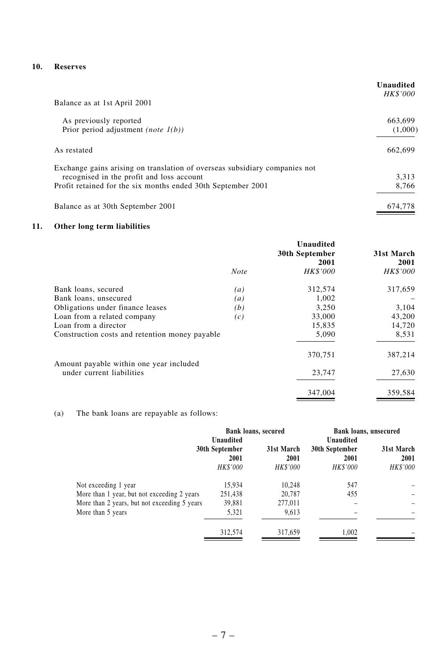# **10. Reserves**

| Balance as at 1st April 2001                                               | Unaudited<br><b>HK\$'000</b> |
|----------------------------------------------------------------------------|------------------------------|
| As previously reported                                                     | 663,699                      |
| Prior period adjustment (note $1(b)$ )                                     | (1,000)                      |
| As restated                                                                | 662.699                      |
| Exchange gains arising on translation of overseas subsidiary companies not |                              |
| recognised in the profit and loss account                                  | 3,313                        |
| Profit retained for the six months ended 30th September 2001               | 8,766                        |
| Balance as at 30th September 2001                                          | 674,778                      |

### **11. Other long term liabilities**

|                                                | Note | Unaudited<br>30th September<br>2001<br><b>HK\$'000</b> | 31st March<br>2001<br><b>HK\$'000</b> |
|------------------------------------------------|------|--------------------------------------------------------|---------------------------------------|
| Bank loans, secured                            | (a)  | 312,574                                                | 317,659                               |
| Bank loans, unsecured                          | (a)  | 1.002                                                  |                                       |
| Obligations under finance leases               | (b)  | 3,250                                                  | 3,104                                 |
| Loan from a related company                    | (c)  | 33,000                                                 | 43,200                                |
| Loan from a director                           |      | 15,835                                                 | 14,720                                |
| Construction costs and retention money payable |      | 5,090                                                  | 8,531                                 |
| Amount payable within one year included        |      | 370,751                                                | 387,214                               |
| under current liabilities                      |      | 23,747                                                 | 27,630                                |
|                                                |      | 347,004                                                | 359,584                               |

# (a) The bank loans are repayable as follows:

|                                                                     | Bank loans, secured<br>Unaudited          |                                       | Bank loans, unsecured<br>Unaudited        |                                       |
|---------------------------------------------------------------------|-------------------------------------------|---------------------------------------|-------------------------------------------|---------------------------------------|
|                                                                     | 30th September<br>2001<br><b>HK\$'000</b> | 31st March<br>2001<br><b>HK\$'000</b> | 30th September<br>2001<br><b>HK\$'000</b> | 31st March<br>2001<br><b>HK\$'000</b> |
| Not exceeding 1 year<br>More than 1 year, but not exceeding 2 years | 15.934<br>251,438                         | 10.248<br>20.787                      | 547<br>455                                |                                       |
| More than 2 years, but not exceeding 5 years<br>More than 5 years   | 39,881<br>5,321                           | 277,011<br>9,613                      |                                           |                                       |
|                                                                     | 312,574                                   | 317,659                               | 1,002                                     |                                       |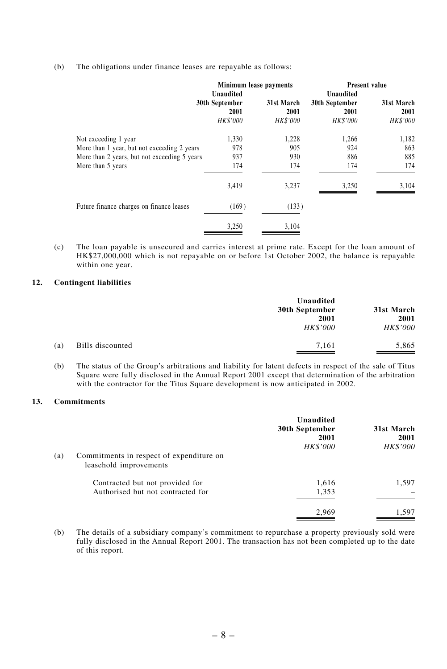(b) The obligations under finance leases are repayable as follows:

|                                              |                                                        | Minimum lease payments         |                                                        | Present value                         |
|----------------------------------------------|--------------------------------------------------------|--------------------------------|--------------------------------------------------------|---------------------------------------|
|                                              | Unaudited<br>30th September<br>2001<br><b>HK\$'000</b> | 31st March<br>2001<br>HK\$'000 | Unaudited<br>30th September<br>2001<br><b>HK\$'000</b> | 31st March<br>2001<br><b>HK\$'000</b> |
|                                              |                                                        |                                |                                                        |                                       |
| Not exceeding 1 year                         | 1,330                                                  | 1,228                          | 1,266                                                  | 1,182                                 |
| More than 1 year, but not exceeding 2 years  | 978                                                    | 905                            | 924                                                    | 863                                   |
| More than 2 years, but not exceeding 5 years | 937                                                    | 930                            | 886                                                    | 885                                   |
| More than 5 years                            | 174                                                    | 174                            | 174                                                    | 174                                   |
|                                              | 3,419                                                  | 3,237                          | 3,250                                                  | 3,104                                 |
| Future finance charges on finance leases     | (169)                                                  | (133)                          |                                                        |                                       |
|                                              | 3,250                                                  | 3,104                          |                                                        |                                       |

(c) The loan payable is unsecured and carries interest at prime rate. Except for the loan amount of HK\$27,000,000 which is not repayable on or before 1st October 2002, the balance is repayable within one year.

#### **12. Contingent liabilities**

|     |                  | Unaudited                    |                 |  |
|-----|------------------|------------------------------|-----------------|--|
|     |                  | 31st March<br>30th September |                 |  |
|     |                  | 2001                         | 2001            |  |
|     |                  | <b>HK\$'000</b>              | <b>HK\$'000</b> |  |
| (a) | Bills discounted | 7.161                        | 5,865           |  |

(b) The status of the Group's arbitrations and liability for latent defects in respect of the sale of Titus Square were fully disclosed in the Annual Report 2001 except that determination of the arbitration with the contractor for the Titus Square development is now anticipated in 2002.

#### **13. Commitments**

|     |                                                                      | Unaudited<br>30th September<br>2001<br>HK\$'000 | 31st March<br>2001<br><b>HK\$'000</b> |
|-----|----------------------------------------------------------------------|-------------------------------------------------|---------------------------------------|
| (a) | Commitments in respect of expenditure on<br>leasehold improvements   |                                                 |                                       |
|     | Contracted but not provided for<br>Authorised but not contracted for | 1,616<br>1,353                                  | 1.597                                 |
|     |                                                                      | 2.969                                           | 1.597                                 |

(b) The details of a subsidiary company's commitment to repurchase a property previously sold were fully disclosed in the Annual Report 2001. The transaction has not been completed up to the date of this report.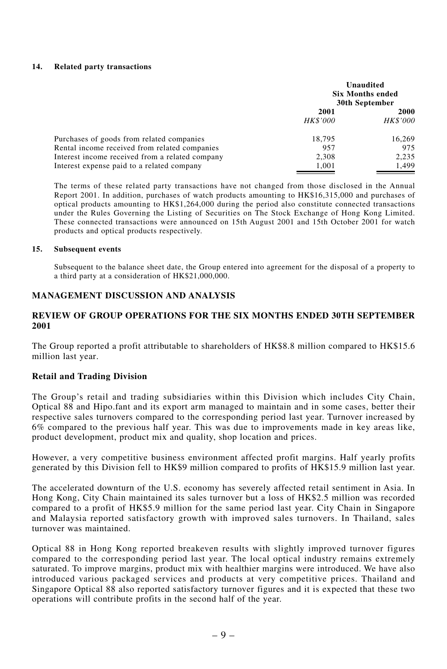#### **14. Related party transactions**

|                                                 | Unaudited<br><b>Six Months ended</b><br>30th September |                 |
|-------------------------------------------------|--------------------------------------------------------|-----------------|
|                                                 | 2001                                                   | 2000            |
|                                                 | <b>HK\$'000</b>                                        | <b>HK\$'000</b> |
| Purchases of goods from related companies       | 18.795                                                 | 16,269          |
| Rental income received from related companies   | 957                                                    | 975             |
| Interest income received from a related company | 2,308                                                  | 2,235           |
| Interest expense paid to a related company      | 1,001                                                  | 1.499           |

The terms of these related party transactions have not changed from those disclosed in the Annual Report 2001. In addition, purchases of watch products amounting to HK\$16,315,000 and purchases of optical products amounting to HK\$1,264,000 during the period also constitute connected transactions under the Rules Governing the Listing of Securities on The Stock Exchange of Hong Kong Limited. These connected transactions were announced on 15th August 2001 and 15th October 2001 for watch products and optical products respectively.

### **15. Subsequent events**

Subsequent to the balance sheet date, the Group entered into agreement for the disposal of a property to a third party at a consideration of HK\$21,000,000.

### **MANAGEMENT DISCUSSION AND ANALYSIS**

### **REVIEW OF GROUP OPERATIONS FOR THE SIX MONTHS ENDED 30TH SEPTEMBER 2001**

The Group reported a profit attributable to shareholders of HK\$8.8 million compared to HK\$15.6 million last year.

### **Retail and Trading Division**

The Group's retail and trading subsidiaries within this Division which includes City Chain, Optical 88 and Hipo.fant and its export arm managed to maintain and in some cases, better their respective sales turnovers compared to the corresponding period last year. Turnover increased by 6% compared to the previous half year. This was due to improvements made in key areas like, product development, product mix and quality, shop location and prices.

However, a very competitive business environment affected profit margins. Half yearly profits generated by this Division fell to HK\$9 million compared to profits of HK\$15.9 million last year.

The accelerated downturn of the U.S. economy has severely affected retail sentiment in Asia. In Hong Kong, City Chain maintained its sales turnover but a loss of HK\$2.5 million was recorded compared to a profit of HK\$5.9 million for the same period last year. City Chain in Singapore and Malaysia reported satisfactory growth with improved sales turnovers. In Thailand, sales turnover was maintained.

Optical 88 in Hong Kong reported breakeven results with slightly improved turnover figures compared to the corresponding period last year. The local optical industry remains extremely saturated. To improve margins, product mix with healthier margins were introduced. We have also introduced various packaged services and products at very competitive prices. Thailand and Singapore Optical 88 also reported satisfactory turnover figures and it is expected that these two operations will contribute profits in the second half of the year.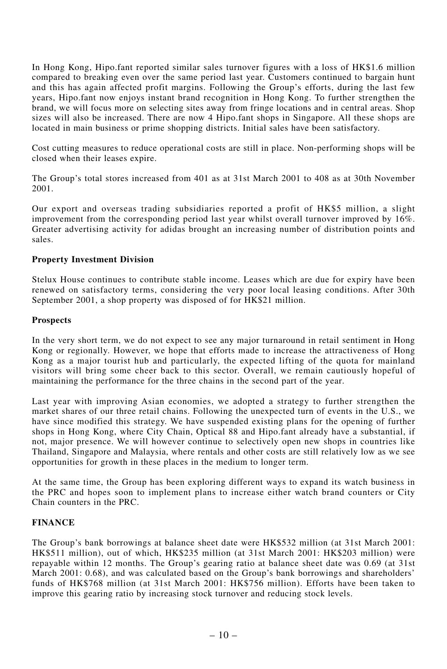In Hong Kong, Hipo.fant reported similar sales turnover figures with a loss of HK\$1.6 million compared to breaking even over the same period last year. Customers continued to bargain hunt and this has again affected profit margins. Following the Group's efforts, during the last few years, Hipo.fant now enjoys instant brand recognition in Hong Kong. To further strengthen the brand, we will focus more on selecting sites away from fringe locations and in central areas. Shop sizes will also be increased. There are now 4 Hipo.fant shops in Singapore. All these shops are located in main business or prime shopping districts. Initial sales have been satisfactory.

Cost cutting measures to reduce operational costs are still in place. Non-performing shops will be closed when their leases expire.

The Group's total stores increased from 401 as at 31st March 2001 to 408 as at 30th November 2001.

Our export and overseas trading subsidiaries reported a profit of HK\$5 million, a slight improvement from the corresponding period last year whilst overall turnover improved by 16%. Greater advertising activity for adidas brought an increasing number of distribution points and sales.

## **Property Investment Division**

Stelux House continues to contribute stable income. Leases which are due for expiry have been renewed on satisfactory terms, considering the very poor local leasing conditions. After 30th September 2001, a shop property was disposed of for HK\$21 million.

### **Prospects**

In the very short term, we do not expect to see any major turnaround in retail sentiment in Hong Kong or regionally. However, we hope that efforts made to increase the attractiveness of Hong Kong as a major tourist hub and particularly, the expected lifting of the quota for mainland visitors will bring some cheer back to this sector. Overall, we remain cautiously hopeful of maintaining the performance for the three chains in the second part of the year.

Last year with improving Asian economies, we adopted a strategy to further strengthen the market shares of our three retail chains. Following the unexpected turn of events in the U.S., we have since modified this strategy. We have suspended existing plans for the opening of further shops in Hong Kong, where City Chain, Optical 88 and Hipo.fant already have a substantial, if not, major presence. We will however continue to selectively open new shops in countries like Thailand, Singapore and Malaysia, where rentals and other costs are still relatively low as we see opportunities for growth in these places in the medium to longer term.

At the same time, the Group has been exploring different ways to expand its watch business in the PRC and hopes soon to implement plans to increase either watch brand counters or City Chain counters in the PRC.

## **FINANCE**

The Group's bank borrowings at balance sheet date were HK\$532 million (at 31st March 2001: HK\$511 million), out of which, HK\$235 million (at 31st March 2001: HK\$203 million) were repayable within 12 months. The Group's gearing ratio at balance sheet date was 0.69 (at 31st March 2001: 0.68), and was calculated based on the Group's bank borrowings and shareholders' funds of HK\$768 million (at 31st March 2001: HK\$756 million). Efforts have been taken to improve this gearing ratio by increasing stock turnover and reducing stock levels.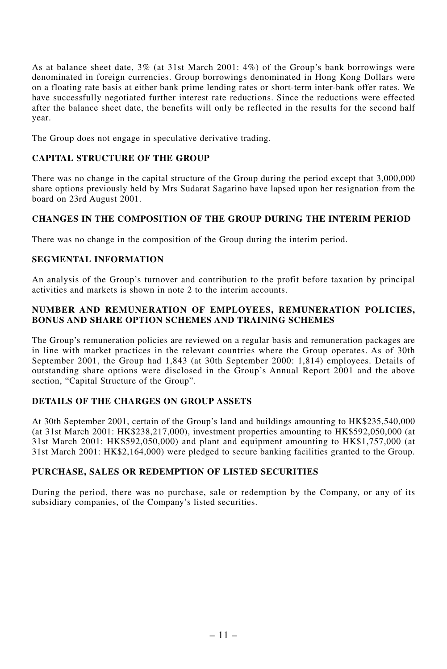As at balance sheet date, 3% (at 31st March 2001: 4%) of the Group's bank borrowings were denominated in foreign currencies. Group borrowings denominated in Hong Kong Dollars were on a floating rate basis at either bank prime lending rates or short-term inter-bank offer rates. We have successfully negotiated further interest rate reductions. Since the reductions were effected after the balance sheet date, the benefits will only be reflected in the results for the second half year.

The Group does not engage in speculative derivative trading.

# **CAPITAL STRUCTURE OF THE GROUP**

There was no change in the capital structure of the Group during the period except that 3,000,000 share options previously held by Mrs Sudarat Sagarino have lapsed upon her resignation from the board on 23rd August 2001.

# **CHANGES IN THE COMPOSITION OF THE GROUP DURING THE INTERIM PERIOD**

There was no change in the composition of the Group during the interim period.

# **SEGMENTAL INFORMATION**

An analysis of the Group's turnover and contribution to the profit before taxation by principal activities and markets is shown in note 2 to the interim accounts.

# **NUMBER AND REMUNERATION OF EMPLOYEES, REMUNERATION POLICIES, BONUS AND SHARE OPTION SCHEMES AND TRAINING SCHEMES**

The Group's remuneration policies are reviewed on a regular basis and remuneration packages are in line with market practices in the relevant countries where the Group operates. As of 30th September 2001, the Group had 1,843 (at 30th September 2000: 1,814) employees. Details of outstanding share options were disclosed in the Group's Annual Report 2001 and the above section, "Capital Structure of the Group".

# **DETAILS OF THE CHARGES ON GROUP ASSETS**

At 30th September 2001, certain of the Group's land and buildings amounting to HK\$235,540,000 (at 31st March 2001: HK\$238,217,000), investment properties amounting to HK\$592,050,000 (at 31st March 2001: HK\$592,050,000) and plant and equipment amounting to HK\$1,757,000 (at 31st March 2001: HK\$2,164,000) were pledged to secure banking facilities granted to the Group.

# **PURCHASE, SALES OR REDEMPTION OF LISTED SECURITIES**

During the period, there was no purchase, sale or redemption by the Company, or any of its subsidiary companies, of the Company's listed securities.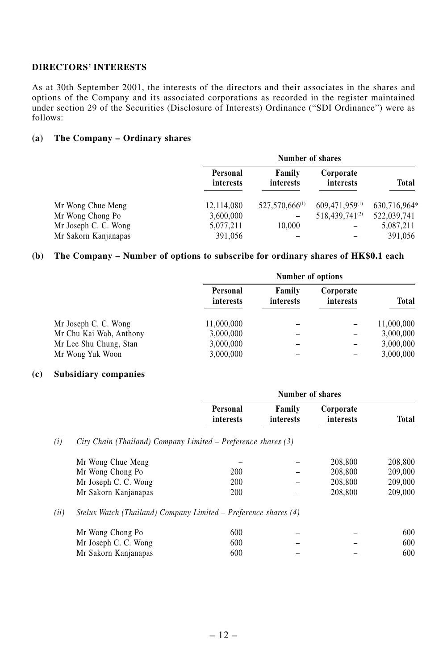# **DIRECTORS' INTERESTS**

As at 30th September 2001, the interests of the directors and their associates in the shares and options of the Company and its associated corporations as recorded in the register maintained under section 29 of the Securities (Disclosure of Interests) Ordinance ("SDI Ordinance") were as follows:

## **(a) The Company – Ordinary shares**

|                      | Number of shares      |                            |                            |              |
|----------------------|-----------------------|----------------------------|----------------------------|--------------|
|                      | Personal<br>interests | Family<br>interests        | Corporate<br>interests     | Total        |
| Mr Wong Chue Meng    | 12,114,080            | 527,570,666 <sup>(1)</sup> | 609,471,959(1)             | 630,716,964* |
| Mr Wong Chong Po     | 3,600,000             | -                          | 518,439,741 <sup>(2)</sup> | 522,039,741  |
| Mr Joseph C. C. Wong | 5,077,211             | 10,000                     |                            | 5,087,211    |
| Mr Sakorn Kanjanapas | 391,056               |                            |                            | 391,056      |

### **(b) The Company – Number of options to subscribe for ordinary shares of HK\$0.1 each**

|                         | Number of options     |                     |                        |              |
|-------------------------|-----------------------|---------------------|------------------------|--------------|
|                         | Personal<br>interests | Family<br>interests | Corporate<br>interests | <b>Total</b> |
| Mr Joseph C. C. Wong    | 11,000,000            |                     | -                      | 11,000,000   |
| Mr Chu Kai Wah, Anthony | 3,000,000             |                     | -                      | 3,000,000    |
| Mr Lee Shu Chung, Stan  | 3,000,000             |                     |                        | 3,000,000    |
| Mr Wong Yuk Woon        | 3,000,000             |                     |                        | 3,000,000    |

### **(c) Subsidiary companies**

| Personal<br>interests                                                                                                                                     | Family<br>interests | Corporate<br>interests                                                                                                           | Total            |
|-----------------------------------------------------------------------------------------------------------------------------------------------------------|---------------------|----------------------------------------------------------------------------------------------------------------------------------|------------------|
|                                                                                                                                                           |                     |                                                                                                                                  |                  |
|                                                                                                                                                           |                     | 208,800                                                                                                                          | 208,800          |
| 200                                                                                                                                                       |                     | 208,800                                                                                                                          | 209,000          |
| 200                                                                                                                                                       |                     | 208,800                                                                                                                          | 209,000          |
| 200                                                                                                                                                       |                     | 208,800                                                                                                                          | 209,000          |
|                                                                                                                                                           |                     |                                                                                                                                  |                  |
| 600                                                                                                                                                       |                     |                                                                                                                                  | 600              |
| 600                                                                                                                                                       |                     |                                                                                                                                  | 600              |
| 600                                                                                                                                                       |                     |                                                                                                                                  | 600              |
| Mr Wong Chue Meng<br>Mr Wong Chong Po<br>Mr Joseph C. C. Wong<br>Mr Sakorn Kanjanapas<br>Mr Wong Chong Po<br>Mr Joseph C. C. Wong<br>Mr Sakorn Kanjanapas |                     | City Chain (Thailand) Company Limited – Preference shares (3)<br>Stelux Watch (Thailand) Company Limited – Preference shares (4) | Number of shares |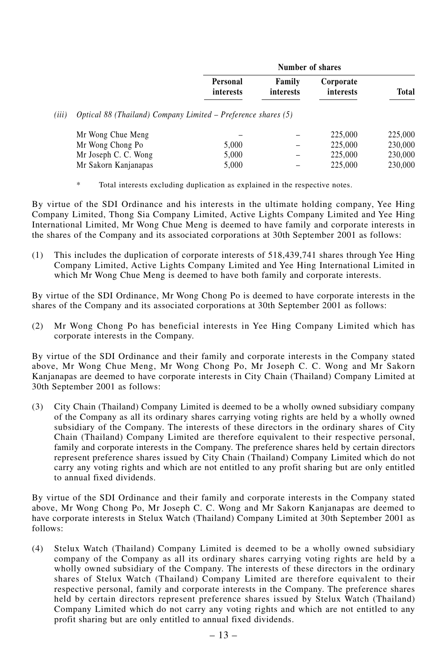|       |                                                               |                       | Number of shares    |                        |              |  |
|-------|---------------------------------------------------------------|-----------------------|---------------------|------------------------|--------------|--|
|       |                                                               | Personal<br>interests | Family<br>interests | Corporate<br>interests | <b>Total</b> |  |
| (iii) | Optical 88 (Thailand) Company Limited – Preference shares (5) |                       |                     |                        |              |  |
|       | Mr Wong Chue Meng                                             |                       |                     | 225,000                | 225,000      |  |
|       | Mr Wong Chong Po                                              | 5,000                 | -                   | 225,000                | 230,000      |  |
|       | Mr Joseph C. C. Wong                                          | 5,000                 | -                   | 225,000                | 230,000      |  |
|       | Mr Sakorn Kanjanapas                                          | 5,000                 |                     | 225,000                | 230,000      |  |

\* Total interests excluding duplication as explained in the respective notes.

By virtue of the SDI Ordinance and his interests in the ultimate holding company, Yee Hing Company Limited, Thong Sia Company Limited, Active Lights Company Limited and Yee Hing International Limited, Mr Wong Chue Meng is deemed to have family and corporate interests in the shares of the Company and its associated corporations at 30th September 2001 as follows:

(1) This includes the duplication of corporate interests of 518,439,741 shares through Yee Hing Company Limited, Active Lights Company Limited and Yee Hing International Limited in which Mr Wong Chue Meng is deemed to have both family and corporate interests.

By virtue of the SDI Ordinance, Mr Wong Chong Po is deemed to have corporate interests in the shares of the Company and its associated corporations at 30th September 2001 as follows:

(2) Mr Wong Chong Po has beneficial interests in Yee Hing Company Limited which has corporate interests in the Company.

By virtue of the SDI Ordinance and their family and corporate interests in the Company stated above, Mr Wong Chue Meng, Mr Wong Chong Po, Mr Joseph C. C. Wong and Mr Sakorn Kanjanapas are deemed to have corporate interests in City Chain (Thailand) Company Limited at 30th September 2001 as follows:

(3) City Chain (Thailand) Company Limited is deemed to be a wholly owned subsidiary company of the Company as all its ordinary shares carrying voting rights are held by a wholly owned subsidiary of the Company. The interests of these directors in the ordinary shares of City Chain (Thailand) Company Limited are therefore equivalent to their respective personal, family and corporate interests in the Company. The preference shares held by certain directors represent preference shares issued by City Chain (Thailand) Company Limited which do not carry any voting rights and which are not entitled to any profit sharing but are only entitled to annual fixed dividends.

By virtue of the SDI Ordinance and their family and corporate interests in the Company stated above, Mr Wong Chong Po, Mr Joseph C. C. Wong and Mr Sakorn Kanjanapas are deemed to have corporate interests in Stelux Watch (Thailand) Company Limited at 30th September 2001 as follows:

(4) Stelux Watch (Thailand) Company Limited is deemed to be a wholly owned subsidiary company of the Company as all its ordinary shares carrying voting rights are held by a wholly owned subsidiary of the Company. The interests of these directors in the ordinary shares of Stelux Watch (Thailand) Company Limited are therefore equivalent to their respective personal, family and corporate interests in the Company. The preference shares held by certain directors represent preference shares issued by Stelux Watch (Thailand) Company Limited which do not carry any voting rights and which are not entitled to any profit sharing but are only entitled to annual fixed dividends.